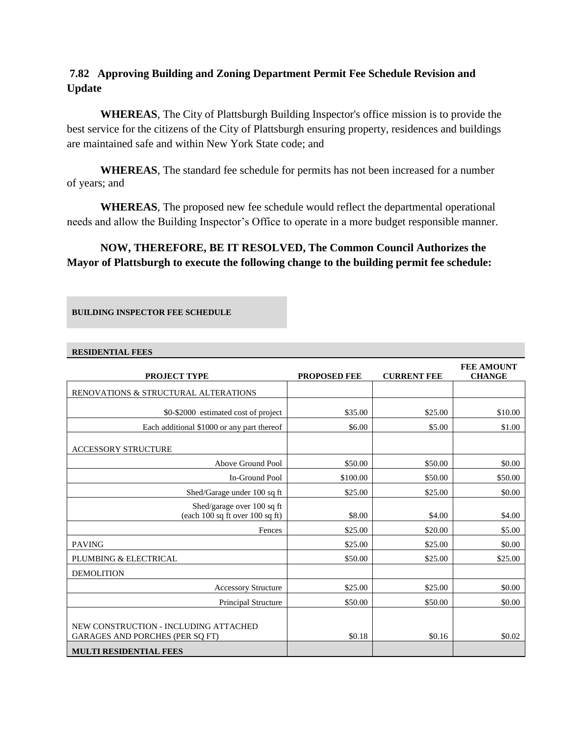# **7.82 Approving Building and Zoning Department Permit Fee Schedule Revision and Update**

**WHEREAS**, The City of Plattsburgh Building Inspector's office mission is to provide the best service for the citizens of the City of Plattsburgh ensuring property, residences and buildings are maintained safe and within New York State code; and

**WHEREAS**, The standard fee schedule for permits has not been increased for a number of years; and

**WHEREAS**, The proposed new fee schedule would reflect the departmental operational needs and allow the Building Inspector's Office to operate in a more budget responsible manner.

# **NOW, THEREFORE, BE IT RESOLVED, The Common Council Authorizes the Mayor of Plattsburgh to execute the following change to the building permit fee schedule:**

#### **BUILDING INSPECTOR FEE SCHEDULE**

#### **RESIDENTIAL FEES**

| <b>PROJECT TYPE</b>                                                                                              | <b>PROPOSED FEE</b> | <b>CURRENT FEE</b> | <b>FEE AMOUNT</b><br><b>CHANGE</b> |
|------------------------------------------------------------------------------------------------------------------|---------------------|--------------------|------------------------------------|
| RENOVATIONS & STRUCTURAL ALTERATIONS                                                                             |                     |                    |                                    |
| \$0-\$2000 estimated cost of project                                                                             | \$35.00             | \$25.00            | \$10.00                            |
| Each additional \$1000 or any part thereof                                                                       | \$6.00              | \$5.00             | \$1.00                             |
| <b>ACCESSORY STRUCTURE</b>                                                                                       |                     |                    |                                    |
| Above Ground Pool                                                                                                | \$50.00             | \$50.00            | \$0.00                             |
| In-Ground Pool                                                                                                   | \$100.00            | \$50.00            | \$50.00                            |
| Shed/Garage under 100 sq ft                                                                                      | \$25.00             | \$25.00            | \$0.00                             |
| Shed/garage over 100 sq ft<br>(each $100$ sq ft over $100$ sq ft)                                                | \$8.00              | \$4.00             | \$4.00                             |
| Fences                                                                                                           | \$25.00             | \$20.00            | \$5.00                             |
| <b>PAVING</b>                                                                                                    | \$25.00             | \$25.00            | \$0.00                             |
| PLUMBING & ELECTRICAL                                                                                            | \$50.00             | \$25.00            | \$25.00                            |
| <b>DEMOLITION</b>                                                                                                |                     |                    |                                    |
| <b>Accessory Structure</b>                                                                                       | \$25.00             | \$25.00            | \$0.00                             |
| Principal Structure                                                                                              | \$50.00             | \$50.00            | \$0.00                             |
| NEW CONSTRUCTION - INCLUDING ATTACHED<br><b>GARAGES AND PORCHES (PER SO FT)</b><br><b>MULTI RESIDENTIAL FEES</b> | \$0.18              | \$0.16             | \$0.02                             |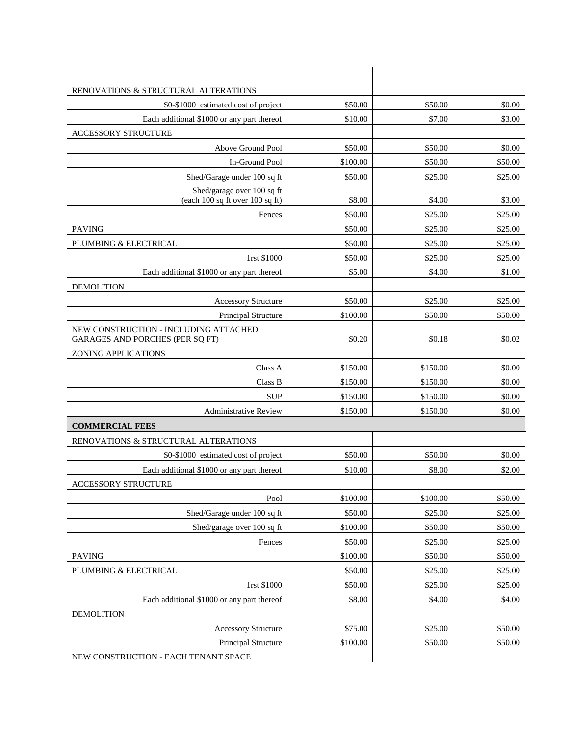| RENOVATIONS & STRUCTURAL ALTERATIONS                                     |          |          |         |
|--------------------------------------------------------------------------|----------|----------|---------|
| \$0-\$1000 estimated cost of project                                     | \$50.00  | \$50.00  | \$0.00  |
| Each additional \$1000 or any part thereof                               | \$10.00  | \$7.00   | \$3.00  |
| <b>ACCESSORY STRUCTURE</b>                                               |          |          |         |
| Above Ground Pool                                                        | \$50.00  | \$50.00  | \$0.00  |
| In-Ground Pool                                                           | \$100.00 | \$50.00  | \$50.00 |
| Shed/Garage under 100 sq ft                                              | \$50.00  | \$25.00  | \$25.00 |
| Shed/garage over 100 sq ft<br>(each $100$ sq ft over $100$ sq ft)        | \$8.00   | \$4.00   | \$3.00  |
| Fences                                                                   | \$50.00  | \$25.00  | \$25.00 |
| <b>PAVING</b>                                                            | \$50.00  | \$25.00  | \$25.00 |
| PLUMBING & ELECTRICAL                                                    | \$50.00  | \$25.00  | \$25.00 |
| 1rst \$1000                                                              | \$50.00  | \$25.00  | \$25.00 |
| Each additional \$1000 or any part thereof                               | \$5.00   | \$4.00   | \$1.00  |
| <b>DEMOLITION</b>                                                        |          |          |         |
| <b>Accessory Structure</b>                                               | \$50.00  | \$25.00  | \$25.00 |
| Principal Structure                                                      | \$100.00 | \$50.00  | \$50.00 |
| NEW CONSTRUCTION - INCLUDING ATTACHED<br>GARAGES AND PORCHES (PER SQ FT) | \$0.20   | \$0.18   | \$0.02  |
| ZONING APPLICATIONS                                                      |          |          |         |
| Class A                                                                  | \$150.00 | \$150.00 | \$0.00  |
| Class B                                                                  | \$150.00 | \$150.00 | \$0.00  |
| <b>SUP</b>                                                               | \$150.00 | \$150.00 | \$0.00  |
| <b>Administrative Review</b>                                             | \$150.00 | \$150.00 | \$0.00  |
| <b>COMMERCIAL FEES</b>                                                   |          |          |         |
| RENOVATIONS & STRUCTURAL ALTERATIONS                                     |          |          |         |
| \$0-\$1000 estimated cost of project                                     | \$50.00  | \$50.00  | \$0.00  |
| Each additional \$1000 or any part thereof                               | \$10.00  | \$8.00   | \$2.00  |
| ACCESSORY STRUCTURE                                                      |          |          |         |
| Pool                                                                     | \$100.00 | \$100.00 | \$50.00 |
| Shed/Garage under 100 sq ft                                              | \$50.00  | \$25.00  | \$25.00 |
| Shed/garage over 100 sq ft                                               | \$100.00 | \$50.00  | \$50.00 |
| Fences                                                                   | \$50.00  | \$25.00  | \$25.00 |
| <b>PAVING</b>                                                            | \$100.00 | \$50.00  | \$50.00 |
| PLUMBING & ELECTRICAL                                                    | \$50.00  | \$25.00  | \$25.00 |
| 1rst \$1000                                                              | \$50.00  | \$25.00  | \$25.00 |
| Each additional \$1000 or any part thereof                               | \$8.00   | \$4.00   | \$4.00  |
| <b>DEMOLITION</b>                                                        |          |          |         |
| <b>Accessory Structure</b>                                               | \$75.00  | \$25.00  | \$50.00 |
| Principal Structure                                                      | \$100.00 | \$50.00  | \$50.00 |
| NEW CONSTRUCTION - EACH TENANT SPACE                                     |          |          |         |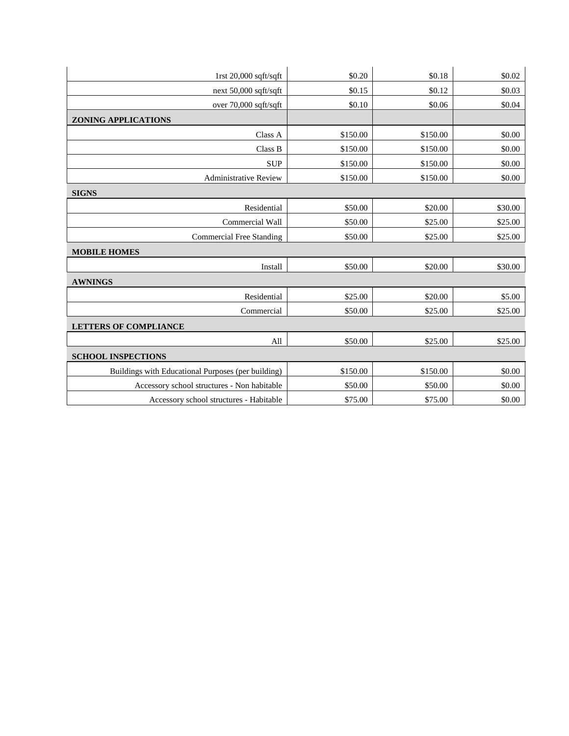| 1rst $20,000$ sqft/sqft                            | \$0.20   | \$0.18   | \$0.02  |
|----------------------------------------------------|----------|----------|---------|
| next 50,000 sqft/sqft                              | \$0.15   | \$0.12   | \$0.03  |
| over 70,000 sqft/sqft                              | \$0.10   | \$0.06   | \$0.04  |
| <b>ZONING APPLICATIONS</b>                         |          |          |         |
| Class A                                            | \$150.00 | \$150.00 | \$0.00  |
| Class B                                            | \$150.00 | \$150.00 | \$0.00  |
| <b>SUP</b>                                         | \$150.00 | \$150.00 | \$0.00  |
| <b>Administrative Review</b>                       | \$150.00 | \$150.00 | \$0.00  |
| <b>SIGNS</b>                                       |          |          |         |
| Residential                                        | \$50.00  | \$20.00  | \$30.00 |
| Commercial Wall                                    | \$50.00  | \$25.00  | \$25.00 |
| <b>Commercial Free Standing</b>                    | \$50.00  | \$25.00  | \$25.00 |
| <b>MOBILE HOMES</b>                                |          |          |         |
| Install                                            | \$50.00  | \$20.00  | \$30.00 |
| <b>AWNINGS</b>                                     |          |          |         |
| Residential                                        | \$25.00  | \$20.00  | \$5.00  |
| Commercial                                         | \$50.00  | \$25.00  | \$25.00 |
| <b>LETTERS OF COMPLIANCE</b>                       |          |          |         |
| All                                                | \$50.00  | \$25.00  | \$25.00 |
| <b>SCHOOL INSPECTIONS</b>                          |          |          |         |
| Buildings with Educational Purposes (per building) | \$150.00 | \$150.00 | \$0.00  |
| Accessory school structures - Non habitable        | \$50.00  | \$50.00  | \$0.00  |
| Accessory school structures - Habitable            | \$75.00  | \$75.00  | \$0.00  |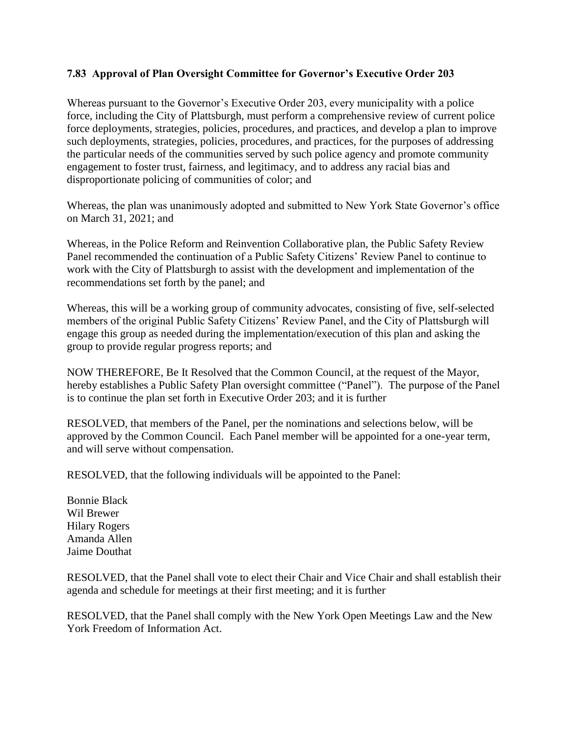## **7.83 Approval of Plan Oversight Committee for Governor's Executive Order 203**

Whereas pursuant to the Governor's Executive Order 203, every municipality with a police force, including the City of Plattsburgh, must perform a comprehensive review of current police force deployments, strategies, policies, procedures, and practices, and develop a plan to improve such deployments, strategies, policies, procedures, and practices, for the purposes of addressing the particular needs of the communities served by such police agency and promote community engagement to foster trust, fairness, and legitimacy, and to address any racial bias and disproportionate policing of communities of color; and

Whereas, the plan was unanimously adopted and submitted to New York State Governor's office on March 31, 2021; and

Whereas, in the Police Reform and Reinvention Collaborative plan, the Public Safety Review Panel recommended the continuation of a Public Safety Citizens' Review Panel to continue to work with the City of Plattsburgh to assist with the development and implementation of the recommendations set forth by the panel; and

Whereas, this will be a working group of community advocates, consisting of five, self-selected members of the original Public Safety Citizens' Review Panel, and the City of Plattsburgh will engage this group as needed during the implementation/execution of this plan and asking the group to provide regular progress reports; and

NOW THEREFORE, Be It Resolved that the Common Council, at the request of the Mayor, hereby establishes a Public Safety Plan oversight committee ("Panel"). The purpose of the Panel is to continue the plan set forth in Executive Order 203; and it is further

RESOLVED, that members of the Panel, per the nominations and selections below, will be approved by the Common Council. Each Panel member will be appointed for a one-year term, and will serve without compensation.

RESOLVED, that the following individuals will be appointed to the Panel:

Bonnie Black Wil Brewer Hilary Rogers Amanda Allen Jaime Douthat

RESOLVED, that the Panel shall vote to elect their Chair and Vice Chair and shall establish their agenda and schedule for meetings at their first meeting; and it is further

RESOLVED, that the Panel shall comply with the New York Open Meetings Law and the New York Freedom of Information Act.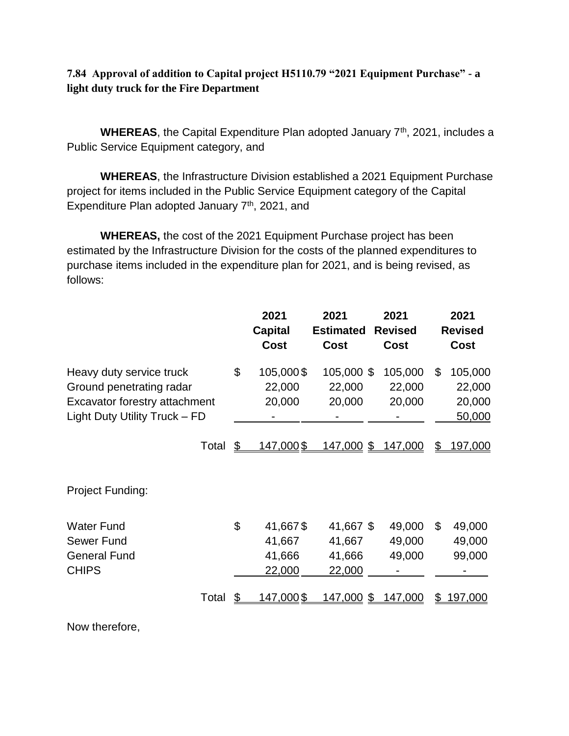# **7.84 Approval of addition to Capital project H5110.79 "2021 Equipment Purchase" - a light duty truck for the Fire Department**

WHEREAS, the Capital Expenditure Plan adopted January 7<sup>th</sup>, 2021, includes a Public Service Equipment category, and

**WHEREAS**, the Infrastructure Division established a 2021 Equipment Purchase project for items included in the Public Service Equipment category of the Capital Expenditure Plan adopted January 7<sup>th</sup>, 2021, and

**WHEREAS,** the cost of the 2021 Equipment Purchase project has been estimated by the Infrastructure Division for the costs of the planned expenditures to purchase items included in the expenditure plan for 2021, and is being revised, as follows:

|                                                                                                                        | 2021<br><b>Capital</b><br><b>Cost</b>        | 2021<br><b>Estimated</b><br><b>Cost</b> | 2021<br><b>Revised</b><br>Cost | 2021<br><b>Revised</b><br>Cost              |
|------------------------------------------------------------------------------------------------------------------------|----------------------------------------------|-----------------------------------------|--------------------------------|---------------------------------------------|
| Heavy duty service truck<br>Ground penetrating radar<br>Excavator forestry attachment<br>Light Duty Utility Truck - FD | \$<br>105,000\$<br>22,000<br>20,000          | 105,000 \$<br>22,000<br>20,000          | 105,000<br>22,000<br>20,000    | \$<br>105,000<br>22,000<br>20,000<br>50,000 |
| Total                                                                                                                  | \$<br>147,000\$                              | 147,000 \$                              | 147,000                        | 197,000<br>\$                               |
| Project Funding:                                                                                                       |                                              |                                         |                                |                                             |
| <b>Water Fund</b><br>Sewer Fund<br><b>General Fund</b><br><b>CHIPS</b>                                                 | \$<br>41,667\$<br>41,667<br>41,666<br>22,000 | 41,667 \$<br>41,667<br>41,666<br>22,000 | 49,000<br>49,000<br>49,000     | \$<br>49,000<br>49,000<br>99,000            |
| Total                                                                                                                  | \$<br><u>147,000\$</u>                       | 147,000<br>\$                           | 147,000                        | 197,000<br>S                                |

Now therefore,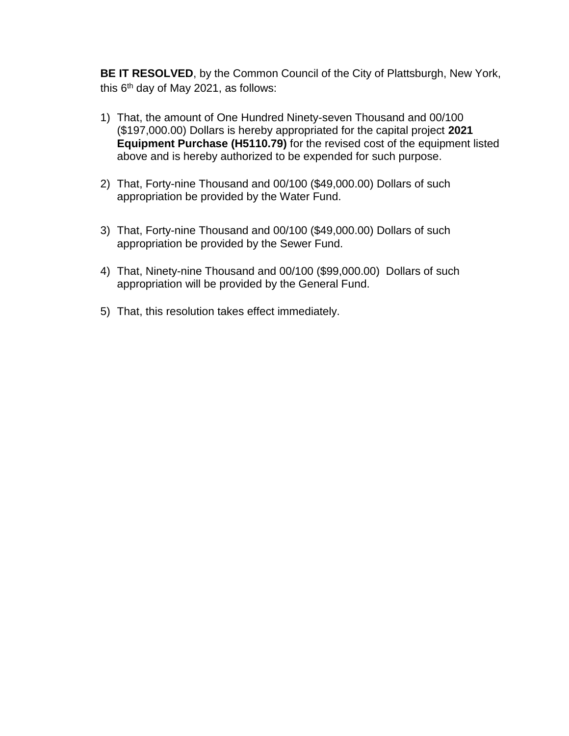**BE IT RESOLVED**, by the Common Council of the City of Plattsburgh, New York, this  $6<sup>th</sup>$  day of May 2021, as follows:

- 1) That, the amount of One Hundred Ninety-seven Thousand and 00/100 (\$197,000.00) Dollars is hereby appropriated for the capital project **2021 Equipment Purchase (H5110.79)** for the revised cost of the equipment listed above and is hereby authorized to be expended for such purpose.
- 2) That, Forty-nine Thousand and 00/100 (\$49,000.00) Dollars of such appropriation be provided by the Water Fund.
- 3) That, Forty-nine Thousand and 00/100 (\$49,000.00) Dollars of such appropriation be provided by the Sewer Fund.
- 4) That, Ninety-nine Thousand and 00/100 (\$99,000.00) Dollars of such appropriation will be provided by the General Fund.
- 5) That, this resolution takes effect immediately.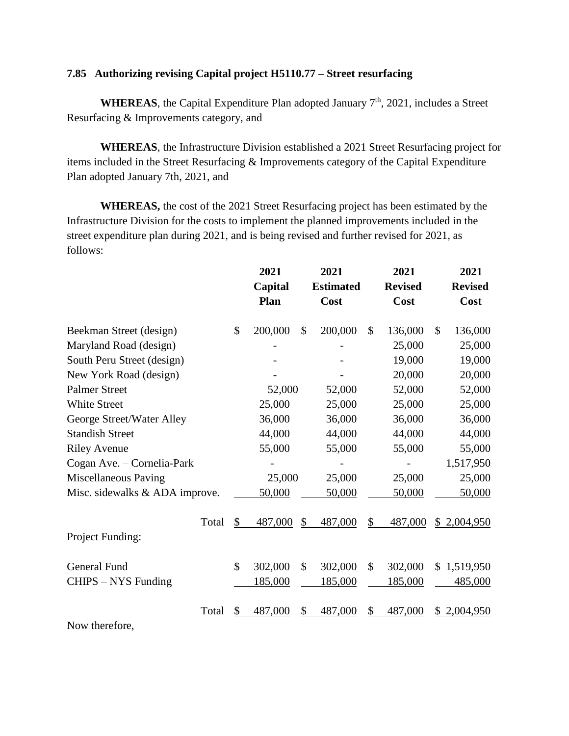#### **7.85 Authorizing revising Capital project H5110.77 – Street resurfacing**

**WHEREAS**, the Capital Expenditure Plan adopted January  $7<sup>th</sup>$ , 2021, includes a Street Resurfacing & Improvements category, and

**WHEREAS**, the Infrastructure Division established a 2021 Street Resurfacing project for items included in the Street Resurfacing & Improvements category of the Capital Expenditure Plan adopted January 7th, 2021, and

**WHEREAS,** the cost of the 2021 Street Resurfacing project has been estimated by the Infrastructure Division for the costs to implement the planned improvements included in the street expenditure plan during 2021, and is being revised and further revised for 2021, as follows:

|                                | 2021<br>Capital<br>Plan |               | 2021<br><b>Estimated</b><br>Cost |               | 2021<br><b>Revised</b><br>Cost |               | 2021<br><b>Revised</b><br>Cost |
|--------------------------------|-------------------------|---------------|----------------------------------|---------------|--------------------------------|---------------|--------------------------------|
| Beekman Street (design)        | \$<br>200,000           | $\mathcal{S}$ | 200,000                          | $\mathcal{S}$ | 136,000                        | $\mathcal{S}$ | 136,000                        |
| Maryland Road (design)         |                         |               |                                  |               | 25,000                         |               | 25,000                         |
| South Peru Street (design)     |                         |               |                                  |               | 19,000                         |               | 19,000                         |
| New York Road (design)         |                         |               |                                  |               | 20,000                         |               | 20,000                         |
| <b>Palmer Street</b>           | 52,000                  |               | 52,000                           |               | 52,000                         |               | 52,000                         |
| <b>White Street</b>            | 25,000                  |               | 25,000                           |               | 25,000                         |               | 25,000                         |
| George Street/Water Alley      | 36,000                  |               | 36,000                           |               | 36,000                         |               | 36,000                         |
| <b>Standish Street</b>         | 44,000                  |               | 44,000                           |               | 44,000                         |               | 44,000                         |
| <b>Riley Avenue</b>            | 55,000                  |               | 55,000                           |               | 55,000                         |               | 55,000                         |
| Cogan Ave. - Cornelia-Park     |                         |               |                                  |               |                                |               | 1,517,950                      |
| Miscellaneous Paving           | 25,000                  |               | 25,000                           |               | 25,000                         |               | 25,000                         |
| Misc. sidewalks & ADA improve. | 50,000                  |               | 50,000                           |               | 50,000                         |               | 50,000                         |
| Total                          | \$<br>487,000           | \$            | 487,000                          | \$            | 487,000                        |               | \$2,004,950                    |
| Project Funding:               |                         |               |                                  |               |                                |               |                                |
| <b>General Fund</b>            | \$<br>302,000           | \$            | 302,000                          | \$            | 302,000                        |               | \$1,519,950                    |
| CHIPS – NYS Funding            | 185,000                 |               | 185,000                          |               | 185,000                        |               | 485,000                        |
| Total                          | \$<br>487,000           | \$            | 487,000                          | \$            | 487,000                        | \$            | 2,004,950                      |
| Now therefore,                 |                         |               |                                  |               |                                |               |                                |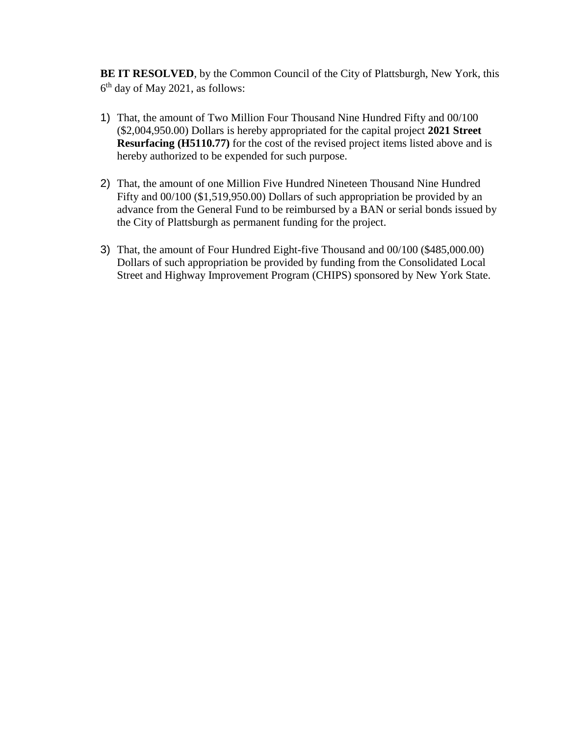**BE IT RESOLVED**, by the Common Council of the City of Plattsburgh, New York, this 6 th day of May 2021, as follows:

- 1) That, the amount of Two Million Four Thousand Nine Hundred Fifty and 00/100 (\$2,004,950.00) Dollars is hereby appropriated for the capital project **2021 Street Resurfacing (H5110.77)** for the cost of the revised project items listed above and is hereby authorized to be expended for such purpose.
- 2) That, the amount of one Million Five Hundred Nineteen Thousand Nine Hundred Fifty and 00/100 (\$1,519,950.00) Dollars of such appropriation be provided by an advance from the General Fund to be reimbursed by a BAN or serial bonds issued by the City of Plattsburgh as permanent funding for the project.
- 3) That, the amount of Four Hundred Eight-five Thousand and 00/100 (\$485,000.00) Dollars of such appropriation be provided by funding from the Consolidated Local Street and Highway Improvement Program (CHIPS) sponsored by New York State.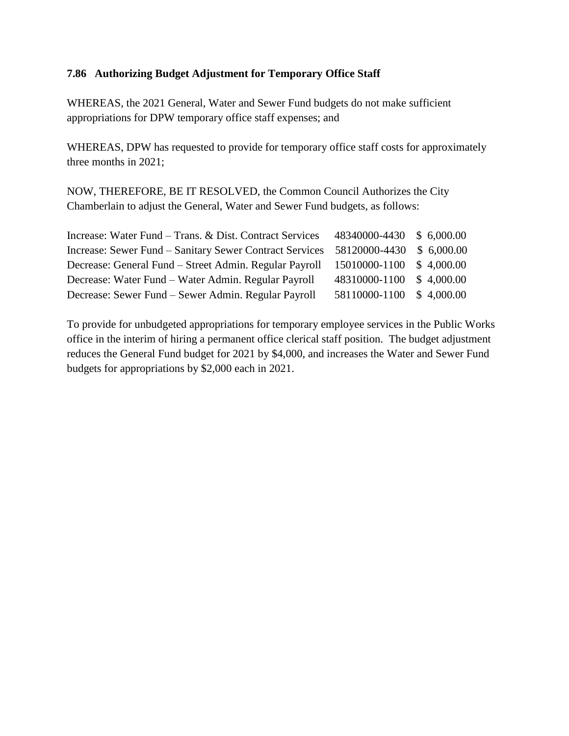#### **7.86 Authorizing Budget Adjustment for Temporary Office Staff**

WHEREAS, the 2021 General, Water and Sewer Fund budgets do not make sufficient appropriations for DPW temporary office staff expenses; and

WHEREAS, DPW has requested to provide for temporary office staff costs for approximately three months in 2021;

NOW, THEREFORE, BE IT RESOLVED, the Common Council Authorizes the City Chamberlain to adjust the General, Water and Sewer Fund budgets, as follows:

| Increase: Water Fund – Trans. & Dist. Contract Services | 48340000-4430 \$6,000.00 |            |
|---------------------------------------------------------|--------------------------|------------|
| Increase: Sewer Fund – Sanitary Sewer Contract Services | 58120000-4430 \$6,000.00 |            |
| Decrease: General Fund – Street Admin. Regular Payroll  | 15010000-1100            | \$4,000.00 |
| Decrease: Water Fund – Water Admin. Regular Payroll     | 48310000-1100            | \$4,000.00 |
| Decrease: Sewer Fund – Sewer Admin. Regular Payroll     | 58110000-1100            | \$4,000.00 |

To provide for unbudgeted appropriations for temporary employee services in the Public Works office in the interim of hiring a permanent office clerical staff position. The budget adjustment reduces the General Fund budget for 2021 by \$4,000, and increases the Water and Sewer Fund budgets for appropriations by \$2,000 each in 2021.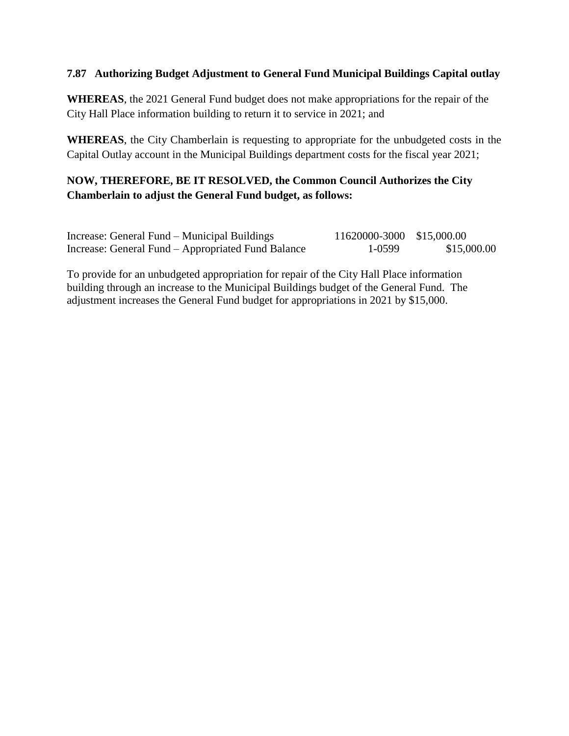#### **7.87 Authorizing Budget Adjustment to General Fund Municipal Buildings Capital outlay**

**WHEREAS**, the 2021 General Fund budget does not make appropriations for the repair of the City Hall Place information building to return it to service in 2021; and

**WHEREAS**, the City Chamberlain is requesting to appropriate for the unbudgeted costs in the Capital Outlay account in the Municipal Buildings department costs for the fiscal year 2021;

# **NOW, THEREFORE, BE IT RESOLVED, the Common Council Authorizes the City Chamberlain to adjust the General Fund budget, as follows:**

| Increase: General Fund – Municipal Buildings       | 11620000-3000 \$15,000.00 |             |
|----------------------------------------------------|---------------------------|-------------|
| Increase: General Fund – Appropriated Fund Balance | 1-0599                    | \$15,000.00 |

To provide for an unbudgeted appropriation for repair of the City Hall Place information building through an increase to the Municipal Buildings budget of the General Fund. The adjustment increases the General Fund budget for appropriations in 2021 by \$15,000.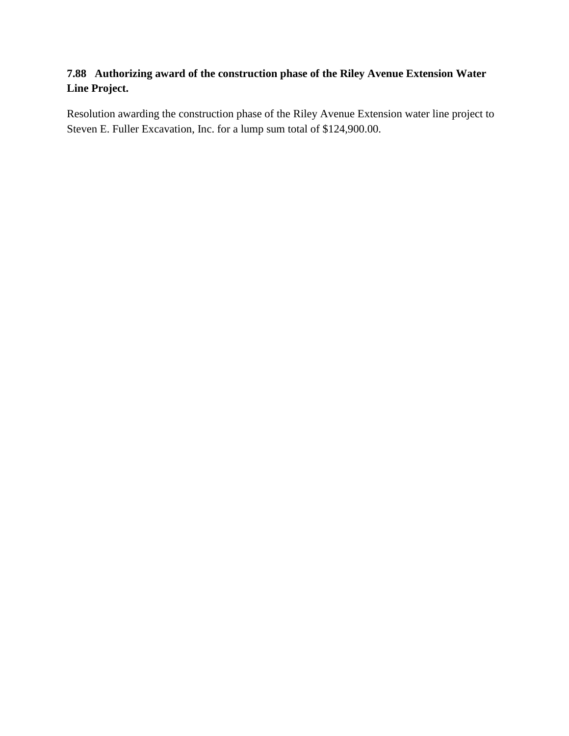# **7.88 Authorizing award of the construction phase of the Riley Avenue Extension Water Line Project.**

Resolution awarding the construction phase of the Riley Avenue Extension water line project to Steven E. Fuller Excavation, Inc. for a lump sum total of \$124,900.00.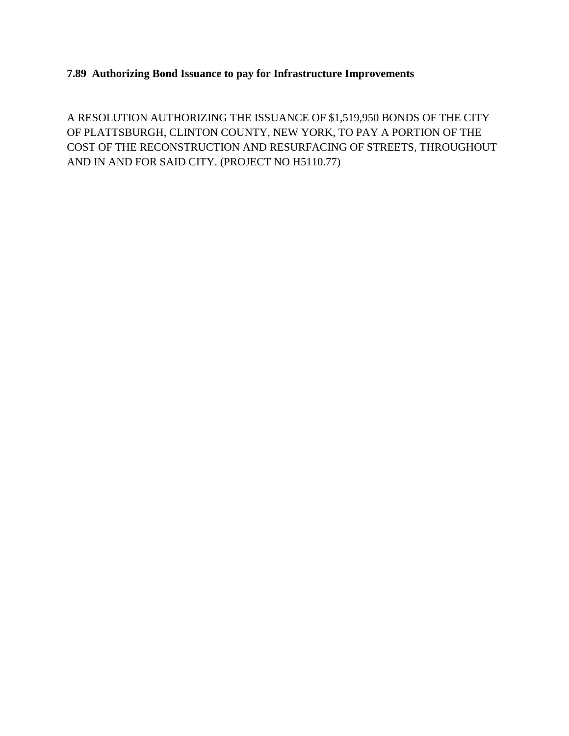# **7.89 Authorizing Bond Issuance to pay for Infrastructure Improvements**

A RESOLUTION AUTHORIZING THE ISSUANCE OF \$1,519,950 BONDS OF THE CITY OF PLATTSBURGH, CLINTON COUNTY, NEW YORK, TO PAY A PORTION OF THE COST OF THE RECONSTRUCTION AND RESURFACING OF STREETS, THROUGHOUT AND IN AND FOR SAID CITY. (PROJECT NO H5110.77)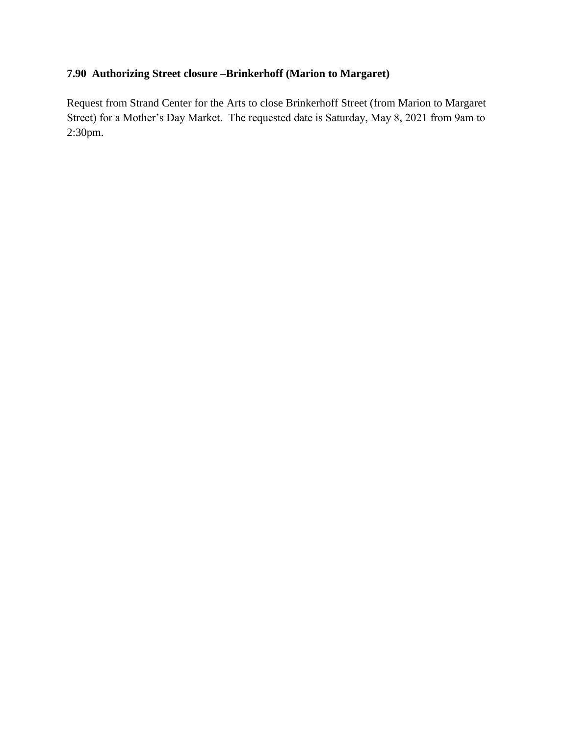# **7.90 Authorizing Street closure –Brinkerhoff (Marion to Margaret)**

Request from Strand Center for the Arts to close Brinkerhoff Street (from Marion to Margaret Street) for a Mother's Day Market. The requested date is Saturday, May 8, 2021 from 9am to 2:30pm.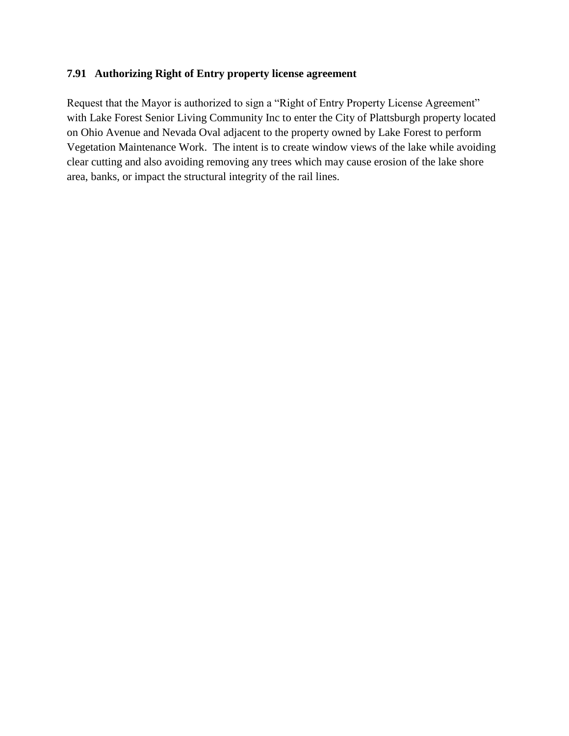## **7.91 Authorizing Right of Entry property license agreement**

Request that the Mayor is authorized to sign a "Right of Entry Property License Agreement" with Lake Forest Senior Living Community Inc to enter the City of Plattsburgh property located on Ohio Avenue and Nevada Oval adjacent to the property owned by Lake Forest to perform Vegetation Maintenance Work. The intent is to create window views of the lake while avoiding clear cutting and also avoiding removing any trees which may cause erosion of the lake shore area, banks, or impact the structural integrity of the rail lines.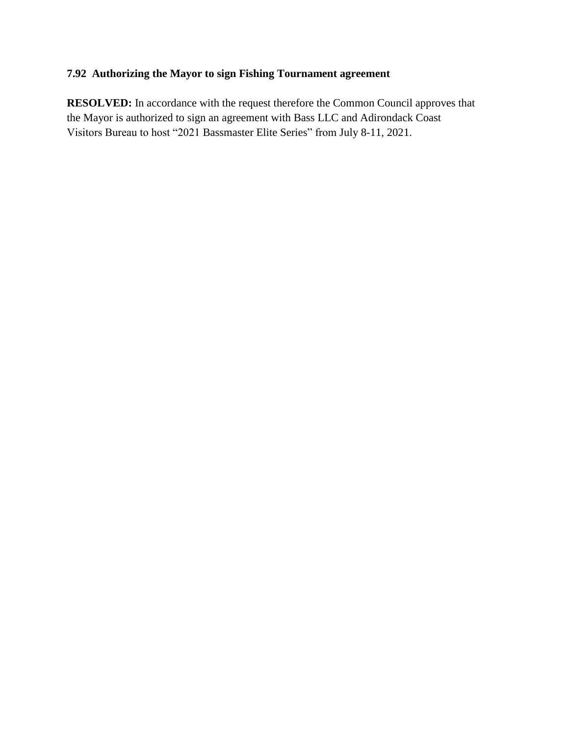# **7.92 Authorizing the Mayor to sign Fishing Tournament agreement**

**RESOLVED:** In accordance with the request therefore the Common Council approves that the Mayor is authorized to sign an agreement with Bass LLC and Adirondack Coast Visitors Bureau to host "2021 Bassmaster Elite Series" from July 8-11, 2021.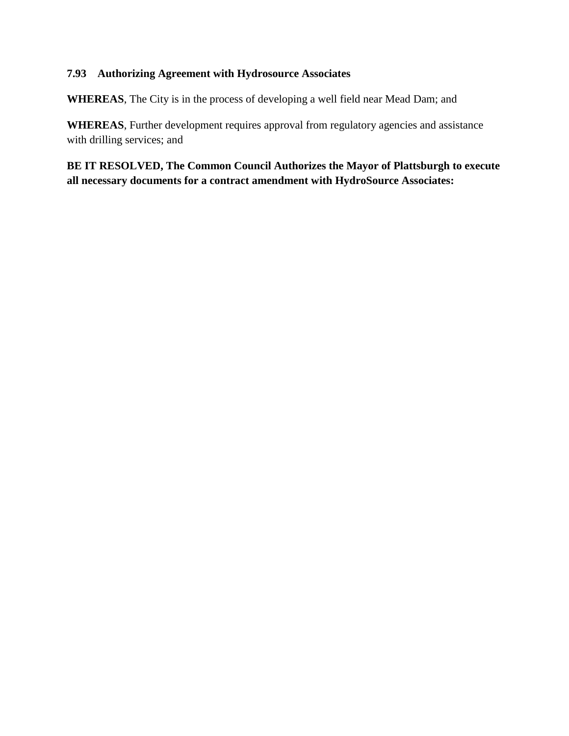### **7.93 Authorizing Agreement with Hydrosource Associates**

**WHEREAS**, The City is in the process of developing a well field near Mead Dam; and

**WHEREAS**, Further development requires approval from regulatory agencies and assistance with drilling services; and

**BE IT RESOLVED, The Common Council Authorizes the Mayor of Plattsburgh to execute all necessary documents for a contract amendment with HydroSource Associates:**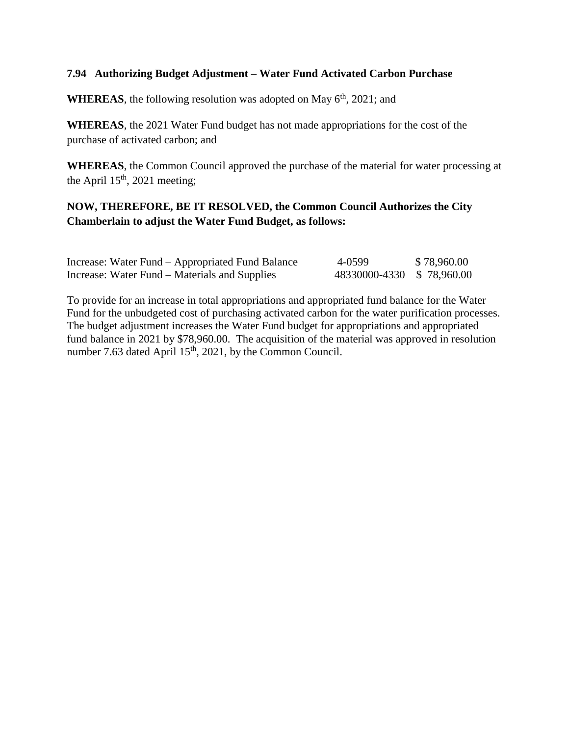#### **7.94 Authorizing Budget Adjustment – Water Fund Activated Carbon Purchase**

**WHEREAS**, the following resolution was adopted on May  $6<sup>th</sup>$ , 2021; and

**WHEREAS**, the 2021 Water Fund budget has not made appropriations for the cost of the purchase of activated carbon; and

**WHEREAS**, the Common Council approved the purchase of the material for water processing at the April  $15<sup>th</sup>$ , 2021 meeting;

# **NOW, THEREFORE, BE IT RESOLVED, the Common Council Authorizes the City Chamberlain to adjust the Water Fund Budget, as follows:**

| Increase: Water Fund – Appropriated Fund Balance | 4-0599                    | \$78,960.00 |
|--------------------------------------------------|---------------------------|-------------|
| Increase: Water Fund – Materials and Supplies    | 48330000-4330 \$78,960.00 |             |

To provide for an increase in total appropriations and appropriated fund balance for the Water Fund for the unbudgeted cost of purchasing activated carbon for the water purification processes. The budget adjustment increases the Water Fund budget for appropriations and appropriated fund balance in 2021 by \$78,960.00. The acquisition of the material was approved in resolution number 7.63 dated April  $15<sup>th</sup>$ , 2021, by the Common Council.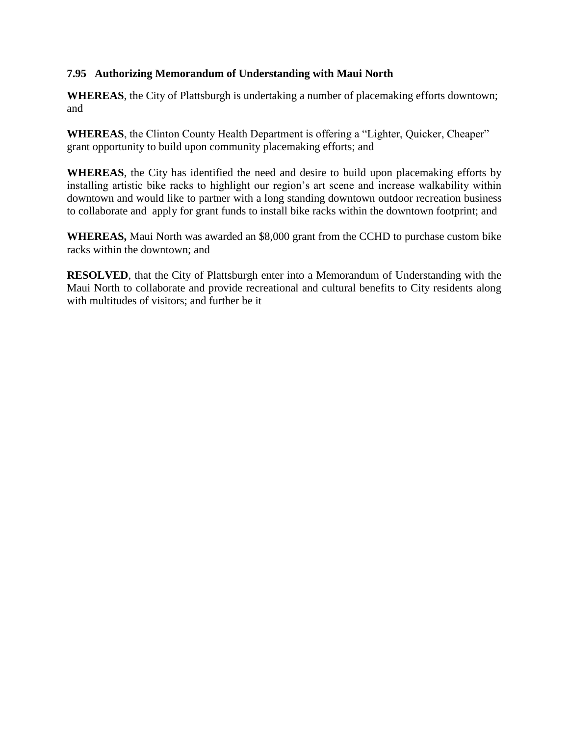## **7.95 Authorizing Memorandum of Understanding with Maui North**

**WHEREAS**, the City of Plattsburgh is undertaking a number of placemaking efforts downtown; and

**WHEREAS**, the Clinton County Health Department is offering a "Lighter, Quicker, Cheaper" grant opportunity to build upon community placemaking efforts; and

**WHEREAS**, the City has identified the need and desire to build upon placemaking efforts by installing artistic bike racks to highlight our region's art scene and increase walkability within downtown and would like to partner with a long standing downtown outdoor recreation business to collaborate and apply for grant funds to install bike racks within the downtown footprint; and

**WHEREAS,** Maui North was awarded an \$8,000 grant from the CCHD to purchase custom bike racks within the downtown; and

**RESOLVED**, that the City of Plattsburgh enter into a Memorandum of Understanding with the Maui North to collaborate and provide recreational and cultural benefits to City residents along with multitudes of visitors; and further be it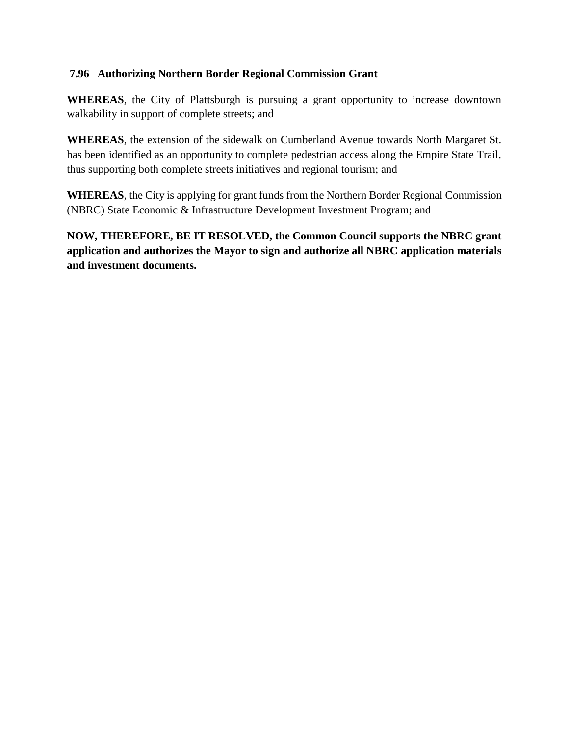## **7.96 Authorizing Northern Border Regional Commission Grant**

**WHEREAS**, the City of Plattsburgh is pursuing a grant opportunity to increase downtown walkability in support of complete streets; and

**WHEREAS**, the extension of the sidewalk on Cumberland Avenue towards North Margaret St. has been identified as an opportunity to complete pedestrian access along the Empire State Trail, thus supporting both complete streets initiatives and regional tourism; and

**WHEREAS**, the City is applying for grant funds from the Northern Border Regional Commission (NBRC) State Economic & Infrastructure Development Investment Program; and

**NOW, THEREFORE, BE IT RESOLVED, the Common Council supports the NBRC grant application and authorizes the Mayor to sign and authorize all NBRC application materials and investment documents.**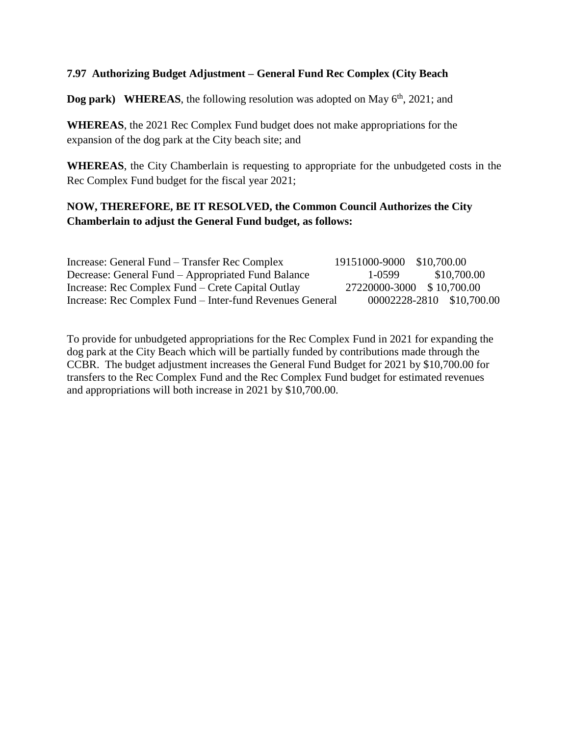#### **7.97 Authorizing Budget Adjustment – General Fund Rec Complex (City Beach**

**Dog park)** WHEREAS, the following resolution was adopted on May  $6<sup>th</sup>$ , 2021; and

**WHEREAS**, the 2021 Rec Complex Fund budget does not make appropriations for the expansion of the dog park at the City beach site; and

**WHEREAS**, the City Chamberlain is requesting to appropriate for the unbudgeted costs in the Rec Complex Fund budget for the fiscal year 2021;

# **NOW, THEREFORE, BE IT RESOLVED, the Common Council Authorizes the City Chamberlain to adjust the General Fund budget, as follows:**

| Increase: General Fund – Transfer Rec Complex            | 19151000-9000 \$10,700.00 |                           |
|----------------------------------------------------------|---------------------------|---------------------------|
| Decrease: General Fund – Appropriated Fund Balance       | 1-0599                    | \$10,700.00               |
| Increase: Rec Complex Fund – Crete Capital Outlay        | 27220000-3000 \$10,700.00 |                           |
| Increase: Rec Complex Fund - Inter-fund Revenues General |                           | 00002228-2810 \$10,700.00 |

To provide for unbudgeted appropriations for the Rec Complex Fund in 2021 for expanding the dog park at the City Beach which will be partially funded by contributions made through the CCBR. The budget adjustment increases the General Fund Budget for 2021 by \$10,700.00 for transfers to the Rec Complex Fund and the Rec Complex Fund budget for estimated revenues and appropriations will both increase in 2021 by \$10,700.00.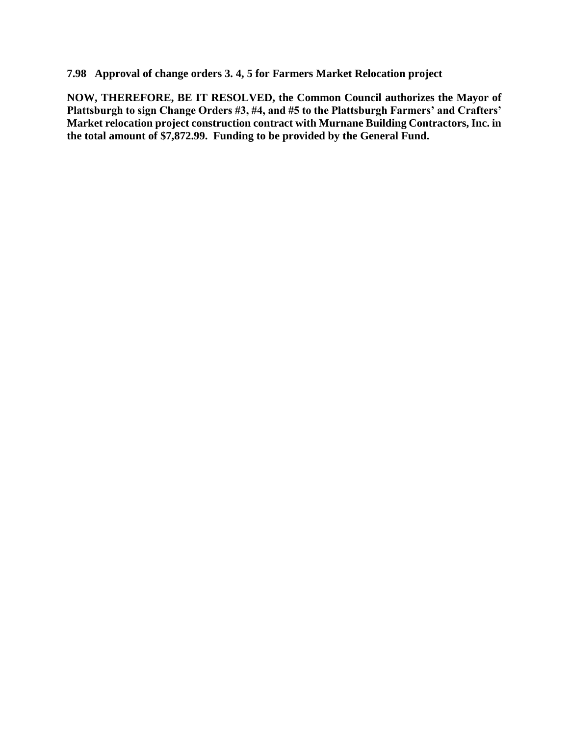**7.98 Approval of change orders 3. 4, 5 for Farmers Market Relocation project**

**NOW, THEREFORE, BE IT RESOLVED, the Common Council authorizes the Mayor of Plattsburgh to sign Change Orders #3, #4, and #5 to the Plattsburgh Farmers' and Crafters' Market relocation project construction contract with Murnane Building Contractors, Inc. in the total amount of \$7,872.99. Funding to be provided by the General Fund.**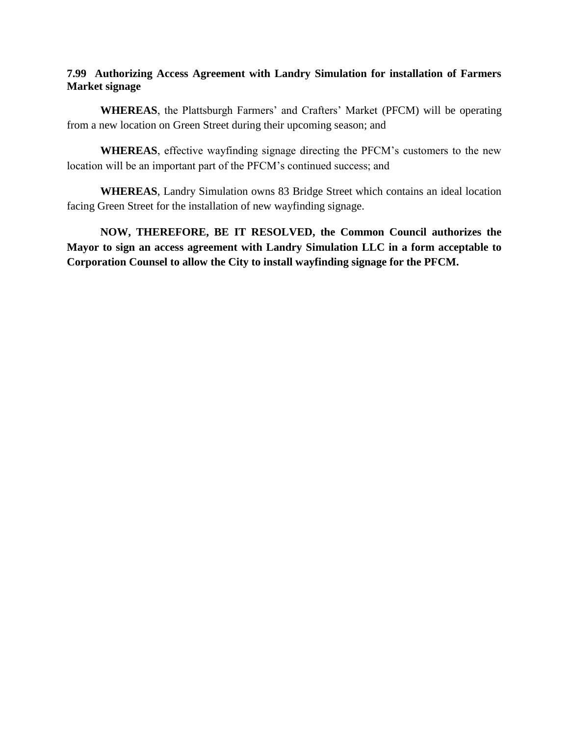#### **7.99 Authorizing Access Agreement with Landry Simulation for installation of Farmers Market signage**

**WHEREAS**, the Plattsburgh Farmers' and Crafters' Market (PFCM) will be operating from a new location on Green Street during their upcoming season; and

**WHEREAS**, effective wayfinding signage directing the PFCM's customers to the new location will be an important part of the PFCM's continued success; and

**WHEREAS**, Landry Simulation owns 83 Bridge Street which contains an ideal location facing Green Street for the installation of new wayfinding signage.

**NOW, THEREFORE, BE IT RESOLVED, the Common Council authorizes the Mayor to sign an access agreement with Landry Simulation LLC in a form acceptable to Corporation Counsel to allow the City to install wayfinding signage for the PFCM.**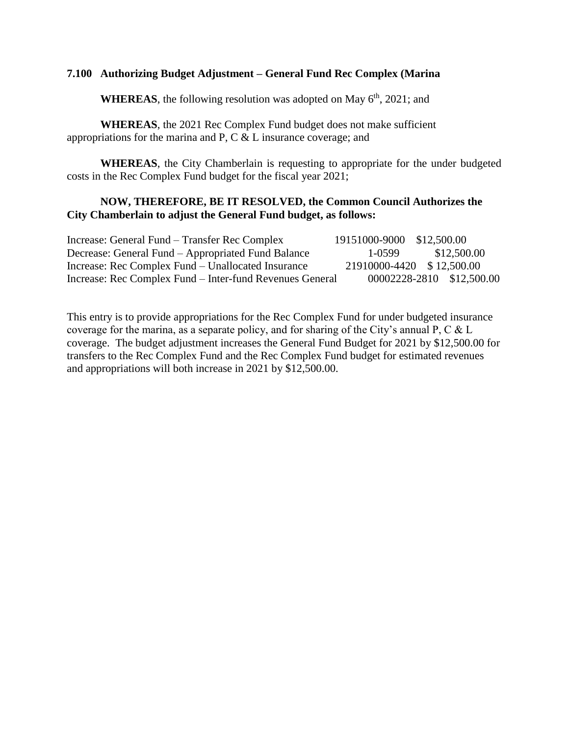#### **7.100 Authorizing Budget Adjustment – General Fund Rec Complex (Marina**

**WHEREAS**, the following resolution was adopted on May  $6<sup>th</sup>$ , 2021; and

**WHEREAS**, the 2021 Rec Complex Fund budget does not make sufficient appropriations for the marina and P, C & L insurance coverage; and

**WHEREAS**, the City Chamberlain is requesting to appropriate for the under budgeted costs in the Rec Complex Fund budget for the fiscal year 2021;

#### **NOW, THEREFORE, BE IT RESOLVED, the Common Council Authorizes the City Chamberlain to adjust the General Fund budget, as follows:**

| Increase: General Fund – Transfer Rec Complex            | 19151000-9000 \$12,500.00 |                           |
|----------------------------------------------------------|---------------------------|---------------------------|
| Decrease: General Fund – Appropriated Fund Balance       | $1 - 0.599$               | \$12,500.00               |
| Increase: Rec Complex Fund – Unallocated Insurance       | 21910000-4420 \$12,500.00 |                           |
| Increase: Rec Complex Fund – Inter-fund Revenues General |                           | 00002228-2810 \$12,500.00 |

This entry is to provide appropriations for the Rec Complex Fund for under budgeted insurance coverage for the marina, as a separate policy, and for sharing of the City's annual P, C & L coverage. The budget adjustment increases the General Fund Budget for 2021 by \$12,500.00 for transfers to the Rec Complex Fund and the Rec Complex Fund budget for estimated revenues and appropriations will both increase in 2021 by \$12,500.00.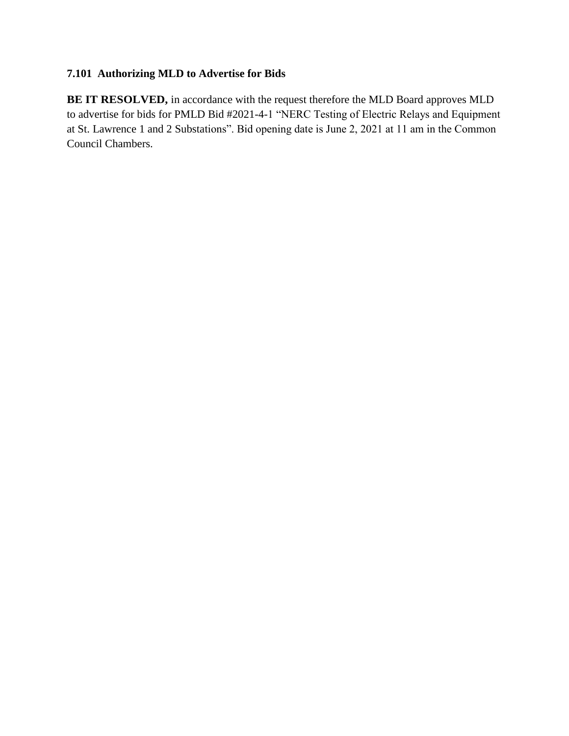# **7.101 Authorizing MLD to Advertise for Bids**

**BE IT RESOLVED,** in accordance with the request therefore the MLD Board approves MLD to advertise for bids for PMLD Bid #2021-4-1 "NERC Testing of Electric Relays and Equipment at St. Lawrence 1 and 2 Substations". Bid opening date is June 2, 2021 at 11 am in the Common Council Chambers.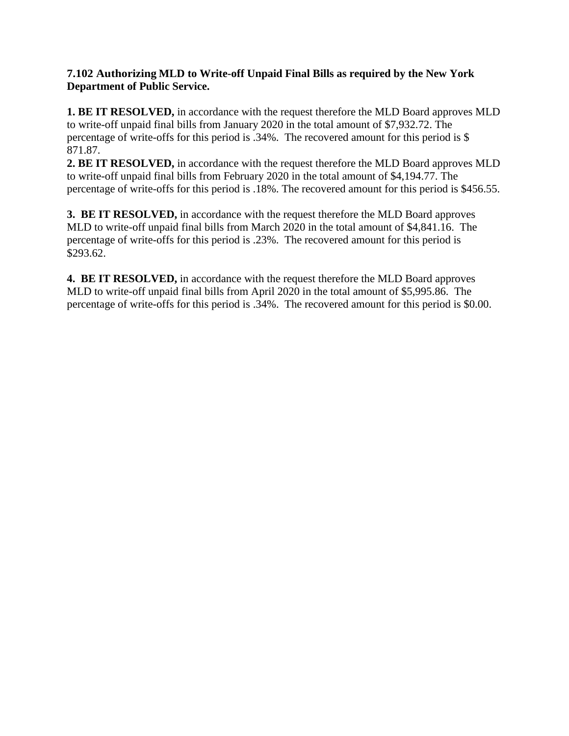#### **7.102 Authorizing MLD to Write-off Unpaid Final Bills as required by the New York Department of Public Service.**

**1. BE IT RESOLVED,** in accordance with the request therefore the MLD Board approves MLD to write-off unpaid final bills from January 2020 in the total amount of \$7,932.72. The percentage of write-offs for this period is .34%. The recovered amount for this period is \$ 871.87.

**2. BE IT RESOLVED,** in accordance with the request therefore the MLD Board approves MLD to write-off unpaid final bills from February 2020 in the total amount of \$4,194.77. The percentage of write-offs for this period is .18%. The recovered amount for this period is \$456.55.

**3. BE IT RESOLVED,** in accordance with the request therefore the MLD Board approves MLD to write-off unpaid final bills from March 2020 in the total amount of \$4,841.16. The percentage of write-offs for this period is .23%. The recovered amount for this period is \$293.62.

**4. BE IT RESOLVED,** in accordance with the request therefore the MLD Board approves MLD to write-off unpaid final bills from April 2020 in the total amount of \$5,995.86. The percentage of write-offs for this period is .34%. The recovered amount for this period is \$0.00.